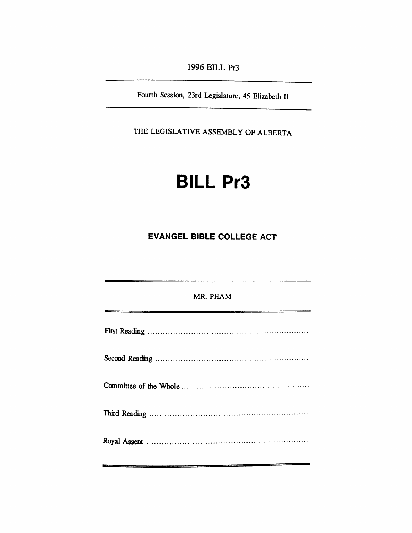*1996 BILL Pr3*

*Fourth Session, 23rd Legislature, 45 Elizabeth II*

*THE LEGISLATIVE ASSEMBLY OF ALBERTA*

## *BILL Pr3*

## *EVANGEL BIBLE COLLEGE ACT*

| MR. PHAM |
|----------|
|          |
|          |
|          |
|          |
|          |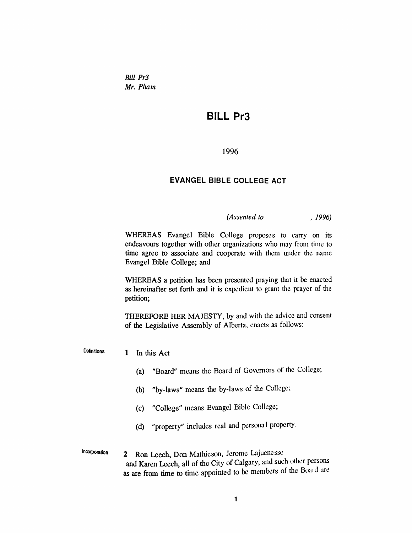*Bill Pr3 Mr. Pham*

## *BILL Pr3*

*1996*

## *EVANGEL BIBLE COLLEGE ACT*

*(Assented to , 1996)*

*WHEREAS Evangel Bible College proposes to carry on its endeavours together with other organizations who may from time to time agree to associate and cooperate with them under the name Evangel Bible College; and*

*WHEREAS a petition has been presented praying that it be enacted as hereinafter set forth and it is expedient to grant the prayer of the petition;*

*THEREFORE HER MAJESTY, by and with the advice and consent of the Legislative Assembly of Alberta, enacts as follows:*

*Definitions <sup>1</sup> In this Act*

- *(a) "Board" means the Board of Governors of the College;*
- *(b) "by-laws" means the by-laws of the College;*
- *(c) "College" means Evangel Bible College;*
- *(d) "property" includes real and personal property.*
- *Incorporation 2 Ron Leech, Don Mathieson, Jerome Lajuenesse and Karen Leech, all of the City of Calgary, and such other persons as are from time to time appointed to be members of the Board are*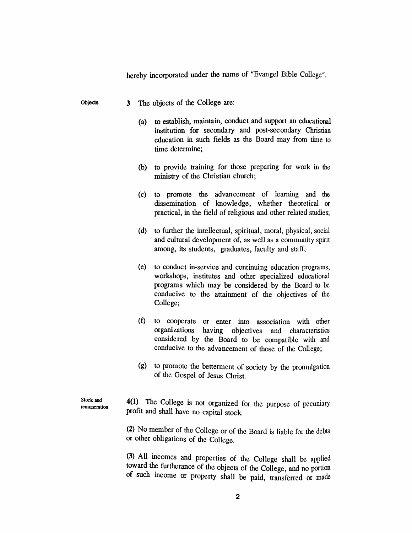|                           | hereby incorporated under the name of "Evangel Bible College". |                                                                                                                                                                                                                                                |  |  |
|---------------------------|----------------------------------------------------------------|------------------------------------------------------------------------------------------------------------------------------------------------------------------------------------------------------------------------------------------------|--|--|
| Objects                   | 3 <sup>1</sup>                                                 | The objects of the College are:                                                                                                                                                                                                                |  |  |
|                           | (a)                                                            | to establish, maintain, conduct and support an educational<br>institution for secondary and post-secondary Christian<br>education in such fields as the Board may from time to<br>time determine;                                              |  |  |
|                           | (b)                                                            | to provide training for those preparing for work in the<br>ministry of the Christian church;                                                                                                                                                   |  |  |
|                           | (c)                                                            | to promote the advancement of learning and the<br>dissemination of knowledge, whether theoretical or<br>practical, in the field of religious and other related studies;                                                                        |  |  |
|                           | (d)                                                            | to further the intellectual, spiritual, moral, physical, social<br>and cultural development of, as well as a community spirit<br>among, its students, graduates, faculty and staff;                                                            |  |  |
|                           | (e)                                                            | to conduct in-service and continuing education programs,<br>workshops, institutes and other specialized educational<br>programs which may be considered by the Board to be<br>conducive to the attainment of the objectives of the<br>College; |  |  |
|                           | $\left( f\right)$                                              | into association with other<br>to cooperate<br>or<br>enter<br>organizations<br>having objectives and characteristics<br>considered by the Board to be compatible with and<br>conducive to the advancement of those of the College;             |  |  |
|                           | (g)                                                            | to promote the betterment of society by the promulgation<br>of the Gospel of Jesus Christ.                                                                                                                                                     |  |  |
| Stock and<br>remuneration | 4(1)                                                           | The College is not organized for the purpose of pecuniary<br>profit and shall have no capital stock.                                                                                                                                           |  |  |
|                           |                                                                | (2) No member of the College or of the Board is liable for the debts<br>or other obligations of the College.                                                                                                                                   |  |  |

*(3) All incomes and properties of the College shall be applied toward the furtherance of the objects of the College, and no portion of such income or property shall be paid, transferred or made*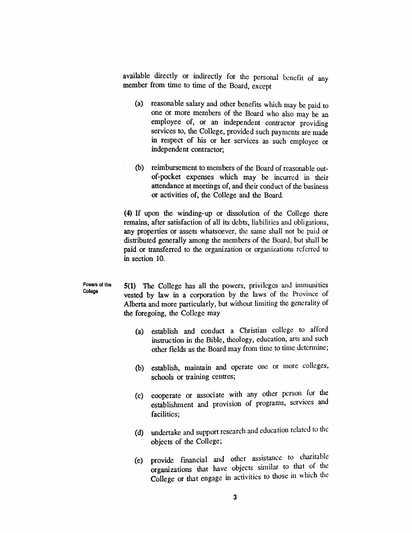*available directly or indirectly for the personal benefit of any member from time to time of the Board, except*

- *(a) reasonable salary and other benefits which may be paid to one or more members of the Board who also may be an employee of, or an independent contractor providing services to, the College, provided such payments are made in respect of his or her services as such employee or independent contractor;*
- *(b) reimbursement to members of the Board of reasonable outof-pocket expenses which may be incurred in their attendance at meetings of, and their conduct of the business or activities of, the College and the Board.*

*(4) If upon the winding-up or dissolution of the College there remains, after satisfaction of all its debts, liabilities and obligations, any properties or assets whatsoever, the same shall not be paid or distributed generally among the members of the Board, but shall be paid or transferred to the organization or organizations referred to in section 10.*

*Powers of the College 5(1) The College has all the powers, privileges and immunities vested by law in a corporation by the laws of tire Province of Alberta and more particularly, but without limiting the generality of the foregoing, the College may*

- *(a) establish and conduct a Christian college to afford instruction in the Bible, theology, education, arts and such other fields as the Board may from time to time determine;*
- *(b) establish, maintain and operate one or more colleges, schools or training centres;*
- *(c) cooperate or associate with any other person for the establishment and provision of programs, services and facilities;*
- *(d) undertake and support research and education related to the objects of the College;*
- *(e) provide financial and other assistance to charitable organizations that have objects similar to that of the College or that engage in activities to those in which the*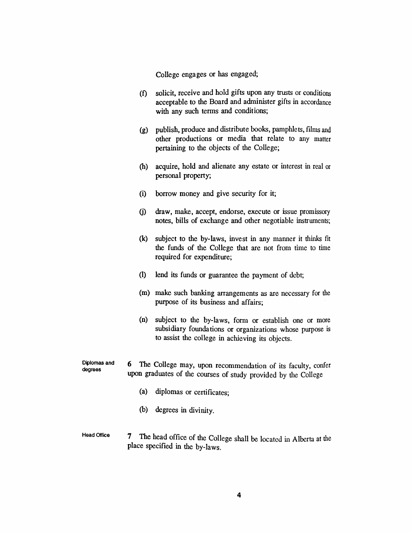*College engages or has engaged;*

- *(f) solicit, receive and hold gifts upon any trusts or conditions acceptable to the Board and administer gifts in accordance with any such terms and conditions;*
- *(g) publish, produce and distribute books, pamphlets, films and other productions or media that relate to any matter pertaining to the objects of the College;*
- *(h) acquire, hold and alienate any estate or interest in real or personal property;*
- *(i) borrow money and give security for it;*
- *(j) draw, make, accept, endorse, execute or issue promissory notes, bills of exchange and other negotiable instruments;*
- *(k) subject to the by-laws, invest in any manner it thinks fit the funds of the College that are not from time to time required for expenditure;*
- *(l) lend its funds or guarantee the payment of debt;*
- *(m) make such banking arrangements as are necessary for the purpose of its business and affairs;*
- *(n) subject to the by-laws, form or establish one or more subsidiary foundations or organizations whose purpose is to assist the college in achieving its objects.*
- *Diplomas and degrees 6 The College may, upon recommendation of its faculty, confer upon graduates of the courses of study provided by the College*
	- *(a) diplomas or certificates;*
	- *(b) degrees in divinity.*
- *Head Office 7 The head office of the College shall be located in Alberta at the place specified in the by-laws.*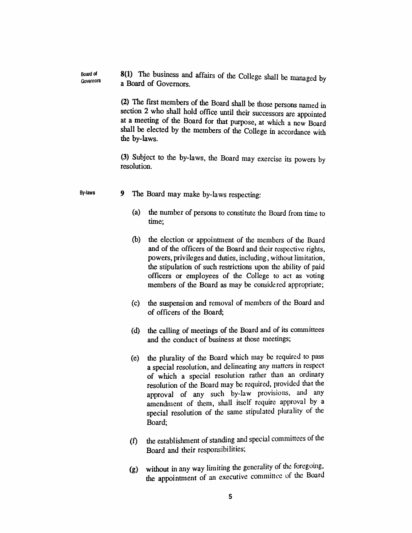*Board of Governors 8(1) The business and affairs of the College shall be managed by a Board of Governors.*

> *(2) The first members of the Board shall be those persons named in section 2 who shall hold office until their successors are appointed at a meeting of the Board for that purpose, at which a new Board shall be elected by the members of the College in accordance with the by-laws.*

> *(3) Subject to the by-laws, the Board may exercise its powers by resolution.*

- *By-laws 9 The Board may make by-laws respecting:*
	- *(a) the number of persons to constitute the Board from time to time;*
	- *(b) the election or appointment of the members of the Board and of the officers of the Board and their respective rights, powers, privileges and duties, including, without limitation, the stipulation of such restrictions upon the ability of paid officers or employees of the College to act as voting members of the Board as may be considered appropriate;*
	- *(c) the suspension and removal of members of the Board and of officers of the Board;*
	- *(d) the calling of meetings of the Board and of its committees and the conduct of business at those meetings;*
	- *(e) the plurality of the Board which may be required to pass a special resolution, and delineating any matters in respect of which a special resolution rather than an ordinary resolution of the Board may be required, provided that the approval of any such by-law provisions, and any amendment of them, shall itself require approval by a special resolution of the same stipulated plurality of the Board;*
	- *(f) the establishment ofstanding and special committees of the Board and their responsibilities;*
	- *(g) without in any way limiting the generality of the foregoing, the appointment of an executive committee of the Board*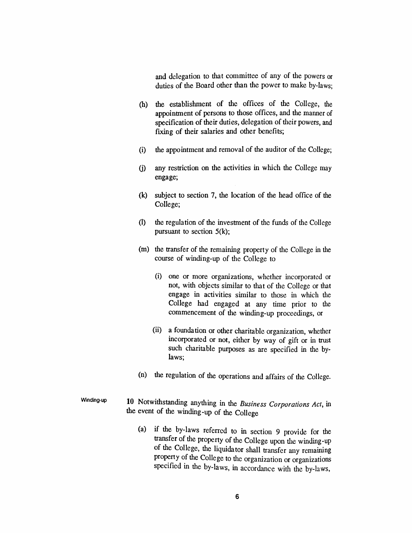*and delegation to that committee of any of the powers or duties of the Board other than the power to make by-laws;*

- *(h) the establishment of the offices of the College, the appointment of persons to those offices, and the manner of specification of their duties, delegation of their powers, and fixing of their salaries and other benefits;*
- *(i) the appointment and removal of the auditor of the College;*
- *(j) any restriction on the activities in which the College may engage;*
- *(k) subject to section 7, the location of the head office of the College;*
- *(l) the regulation of the investment of the funds of the College pursuant to section 5(k);*
- *(m) the transfer of the remaining property of the College in the course of winding-up of the College to*
	- *(i) one or more organizations, whether incorporated or not, with objects similar to that of the College or that engage in activities similar to those in which the College had engaged at any time prior to the commencement of the winding-up proceedings, or*
	- *(ii) a foundation or other charitable organization, whether incorporated or not, either by way of gift or in trust such charitable purposes as are specified in the bylaws;*
- *(n) the regulation of the operations and affairs of the College.*
- *Winding-up 10 Notwithstanding anything in the Business Corporations Act, in the event of the winding-up of the College*
	- *(a) if the by-laws referred to in section 9 provide for the transfer of the property of the College upon the winding-up of the College, the liquidator shall transfer any remaining property of the College to the organization or organizations specified in the by-laws, in accordance with the by-laws,*